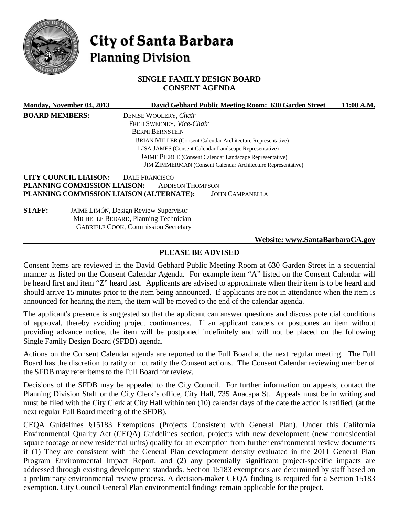

# City of Santa Barbara **Planning Division**

## **SINGLE FAMILY DESIGN BOARD CONSENT AGENDA**

|                                                          | Monday, November 04, 2013    |                                              | David Gebhard Public Meeting Room: 630 Garden Street                | 11:00 A.M. |
|----------------------------------------------------------|------------------------------|----------------------------------------------|---------------------------------------------------------------------|------------|
| <b>BOARD MEMBERS:</b>                                    |                              | DENISE WOOLERY, Chair                        |                                                                     |            |
|                                                          |                              | FRED SWEENEY, Vice-Chair                     |                                                                     |            |
|                                                          |                              | <b>BERNI BERNSTEIN</b>                       |                                                                     |            |
|                                                          |                              |                                              | <b>BRIAN MILLER (Consent Calendar Architecture Representative)</b>  |            |
|                                                          |                              |                                              | LISA JAMES (Consent Calendar Landscape Representative)              |            |
| JAIME PIERCE (Consent Calendar Landscape Representative) |                              |                                              |                                                                     |            |
|                                                          |                              |                                              | <b>JIM ZIMMERMAN</b> (Consent Calendar Architecture Representative) |            |
|                                                          | <b>CITY COUNCIL LIAISON:</b> | <b>DALE FRANCISCO</b>                        |                                                                     |            |
|                                                          | PLANNING COMMISSION LIAISON: | <b>ADDISON THOMPSON</b>                      |                                                                     |            |
|                                                          |                              | PLANNING COMMISSION LIAISON (ALTERNATE):     | <b>JOHN CAMPANELLA</b>                                              |            |
| <b>STAFF:</b>                                            |                              | <b>JAIME LIMÓN, Design Review Supervisor</b> |                                                                     |            |
|                                                          |                              | MICHELLE BEDARD, Planning Technician         |                                                                     |            |
|                                                          |                              | <b>GABRIELE COOK, Commission Secretary</b>   |                                                                     |            |
|                                                          |                              |                                              | Website: www.SantaBarbaraCA.gov                                     |            |

# **PLEASE BE ADVISED**

Consent Items are reviewed in the David Gebhard Public Meeting Room at 630 Garden Street in a sequential manner as listed on the Consent Calendar Agenda. For example item "A" listed on the Consent Calendar will be heard first and item "Z" heard last. Applicants are advised to approximate when their item is to be heard and should arrive 15 minutes prior to the item being announced. If applicants are not in attendance when the item is announced for hearing the item, the item will be moved to the end of the calendar agenda.

The applicant's presence is suggested so that the applicant can answer questions and discuss potential conditions of approval, thereby avoiding project continuances. If an applicant cancels or postpones an item without providing advance notice, the item will be postponed indefinitely and will not be placed on the following Single Family Design Board (SFDB) agenda.

Actions on the Consent Calendar agenda are reported to the Full Board at the next regular meeting. The Full Board has the discretion to ratify or not ratify the Consent actions. The Consent Calendar reviewing member of the SFDB may refer items to the Full Board for review.

Decisions of the SFDB may be appealed to the City Council. For further information on appeals, contact the Planning Division Staff or the City Clerk's office, City Hall, 735 Anacapa St. Appeals must be in writing and must be filed with the City Clerk at City Hall within ten (10) calendar days of the date the action is ratified, (at the next regular Full Board meeting of the SFDB).

CEQA Guidelines §15183 Exemptions (Projects Consistent with General Plan). Under this California Environmental Quality Act (CEQA) Guidelines section, projects with new development (new nonresidential square footage or new residential units) qualify for an exemption from further environmental review documents if (1) They are consistent with the General Plan development density evaluated in the 2011 General Plan Program Environmental Impact Report, and (2) any potentially significant project-specific impacts are addressed through existing development standards. Section 15183 exemptions are determined by staff based on a preliminary environmental review process. A decision-maker CEQA finding is required for a Section 15183 exemption. City Council General Plan environmental findings remain applicable for the project.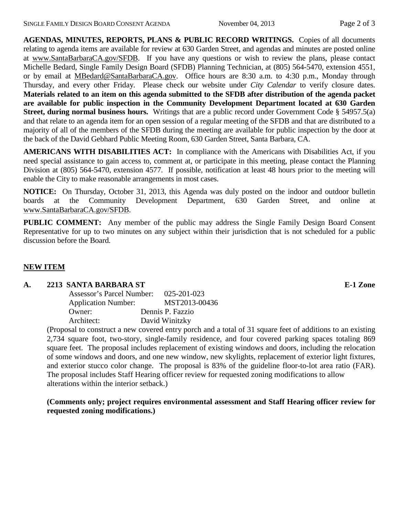**AGENDAS, MINUTES, REPORTS, PLANS & PUBLIC RECORD WRITINGS.** Copies of all documents relating to agenda items are available for review at 630 Garden Street, and agendas and minutes are posted online at [www.SantaBarbaraCA.gov/SFDB.](http://www.santabarbaraca.gov/ABR) If you have any questions or wish to review the plans, please contact Michelle Bedard, Single Family Design Board (SFDB) Planning Technician, at (805) 564-5470, extension 4551, or by email at [MBedard@SantaBarbaraCA.gov.](mailto:MBedard@SantaBarbaraCA.gov) Office hours are 8:30 a.m. to 4:30 p.m., Monday through Thursday, and every other Friday. Please check our website under *City Calendar* to verify closure dates. **Materials related to an item on this agenda submitted to the SFDB after distribution of the agenda packet are available for public inspection in the Community Development Department located at 630 Garden Street, during normal business hours.** Writings that are a public record under Government Code § 54957.5(a) and that relate to an agenda item for an open session of a regular meeting of the SFDB and that are distributed to a majority of all of the members of the SFDB during the meeting are available for public inspection by the door at the back of the David Gebhard Public Meeting Room, 630 Garden Street, Santa Barbara, CA.

**AMERICANS WITH DISABILITIES ACT:** In compliance with the Americans with Disabilities Act, if you need special assistance to gain access to, comment at, or participate in this meeting, please contact the Planning Division at (805) 564-5470, extension 4577. If possible, notification at least 48 hours prior to the meeting will enable the City to make reasonable arrangements in most cases.

**NOTICE:** On Thursday, October 31, 2013, this Agenda was duly posted on the indoor and outdoor bulletin boards at the Community Development Department, 630 Garden Street, and online at [www.SantaBarbaraCA.gov/SFDB.](http://www.santabarbaraca.gov/sfdb)

**PUBLIC COMMENT:** Any member of the public may address the Single Family Design Board Consent Representative for up to two minutes on any subject within their jurisdiction that is not scheduled for a public discussion before the Board.

## **NEW ITEM**

#### **A. 2213 SANTA BARBARA ST E-1 Zone**

| Assessor's Parcel Number:  | 025-201-023      |
|----------------------------|------------------|
| <b>Application Number:</b> | MST2013-00436    |
| Owner:                     | Dennis P. Fazzio |
| Architect:                 | David Winitzky   |

(Proposal to construct a new covered entry porch and a total of 31 square feet of additions to an existing 2,734 square foot, two-story, single-family residence, and four covered parking spaces totaling 869 square feet. The proposal includes replacement of existing windows and doors, including the relocation of some windows and doors, and one new window, new skylights, replacement of exterior light fixtures, and exterior stucco color change. The proposal is 83% of the guideline floor-to-lot area ratio (FAR). The proposal includes Staff Hearing officer review for requested zoning modifications to allow alterations within the interior setback.)

## **(Comments only; project requires environmental assessment and Staff Hearing officer review for requested zoning modifications.)**